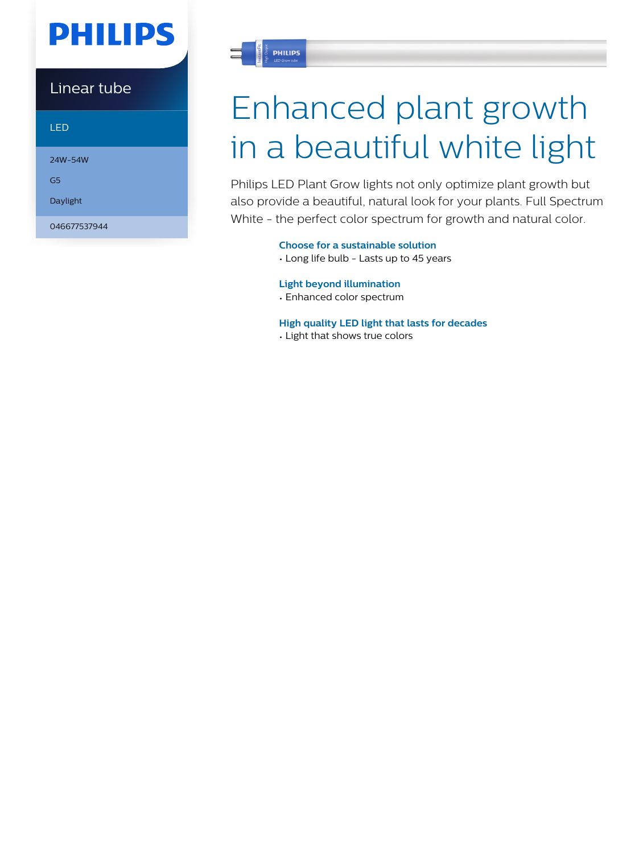## **PHILIPS**

Linear tube

LED

24W-54W

G5

Daylight

046677537944



# Enhanced plant growth in a beautiful white light

Philips LED Plant Grow lights not only optimize plant growth but also provide a beautiful, natural look for your plants. Full Spectrum White - the perfect color spectrum for growth and natural color.

**Choose for a sustainable solution**

• Long life bulb - Lasts up to 45 years

#### **Light beyond illumination**

• Enhanced color spectrum

**High quality LED light that lasts for decades**

• Light that shows true colors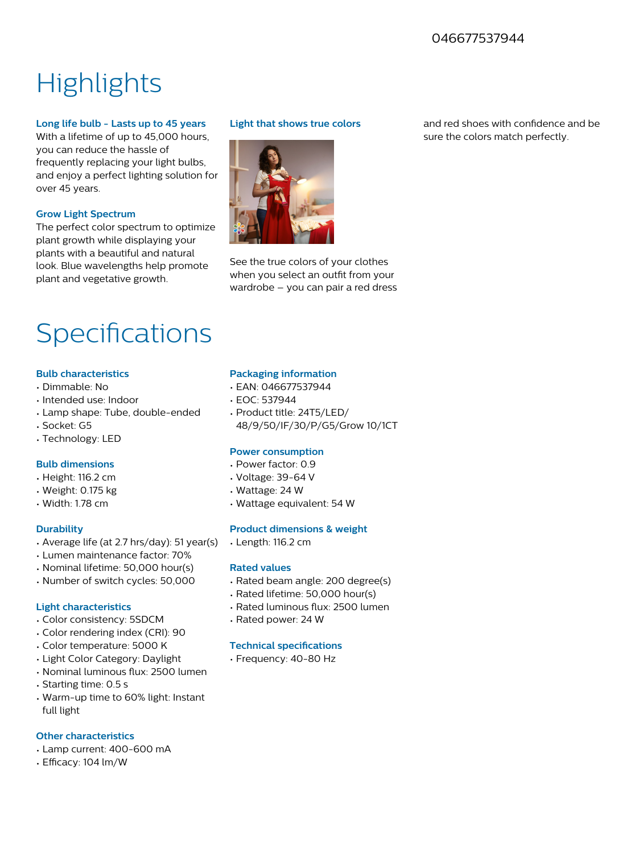#### 046677537944

### **Highlights**

#### **Long life bulb - Lasts up to 45 years**

With a lifetime of up to 45,000 hours, you can reduce the hassle of frequently replacing your light bulbs, and enjoy a perfect lighting solution for over 45 years.

#### **Grow Light Spectrum**

The perfect color spectrum to optimize plant growth while displaying your plants with a beautiful and natural look. Blue wavelengths help promote plant and vegetative growth.

#### **Light that shows true colors**



See the true colors of your clothes when you select an outfit from your wardrobe – you can pair a red dress

### Specifications

#### **Bulb characteristics**

- Dimmable: No
- Intended use: Indoor
- Lamp shape: Tube, double-ended
- Socket: G5
- Technology: LED

#### **Bulb dimensions**

- Height: 116.2 cm
- Weight: 0.175 kg
- Width: 1.78 cm

#### **Durability**

- Average life (at 2.7 hrs/day): 51 year(s)
- Lumen maintenance factor: 70%
- Nominal lifetime: 50,000 hour(s)
- Number of switch cycles: 50,000

#### **Light characteristics**

- Color consistency: 5SDCM
- Color rendering index (CRI): 90
- Color temperature: 5000 K
- Light Color Category: Daylight
- Nominal luminous flux: 2500 lumen
- Starting time: 0.5 s
- Warm-up time to 60% light: Instant full light

#### **Other characteristics**

- Lamp current: 400-600 mA
- Efficacy: 104 lm/W

#### **Packaging information**

- EAN: 046677537944
- EOC: 537944
- Product title: 24T5/LED/ 48/9/50/IF/30/P/G5/Grow 10/1CT

#### **Power consumption**

- Power factor: 0.9
- Voltage: 39-64 V
- Wattage: 24 W
- Wattage equivalent: 54 W

#### **Product dimensions & weight**

• Length: 116.2 cm

#### **Rated values**

- Rated beam angle: 200 degree(s)
- Rated lifetime: 50,000 hour(s)
- Rated luminous flux: 2500 lumen
- Rated power: 24 W

#### **Technical specifications**

• Frequency: 40-80 Hz

and red shoes with confidence and be sure the colors match perfectly.